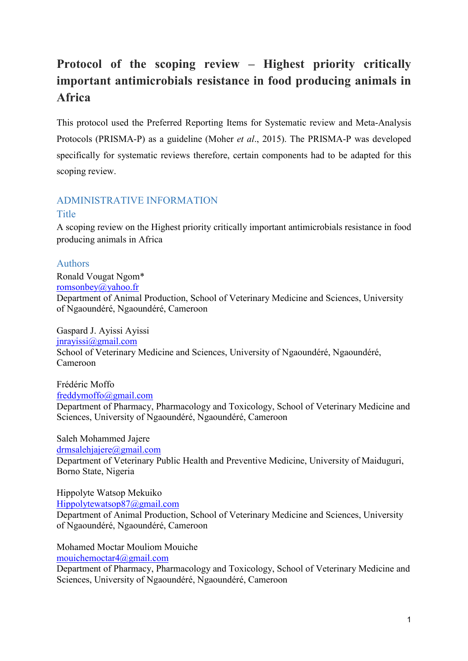# **Protocol of the scoping review – Highest priority critically important antimicrobials resistance in food producing animals in Africa**

This protocol used the Preferred Reporting Items for Systematic review and Meta-Analysis Protocols (PRISMA-P) as a guideline (Moher *et al*., 2015). The PRISMA-P was developed specifically for systematic reviews therefore, certain components had to be adapted for this scoping review.

## ADMINISTRATIVE INFORMATION **Title**

A scoping review on the Highest priority critically important antimicrobials resistance in food producing animals in Africa

## Authors

Ronald Vougat Ngom\* [romsonbey@yahoo.fr](mailto:romsonbey@yahoo.fr) Department of Animal Production, School of Veterinary Medicine and Sciences, University of Ngaoundéré, Ngaoundéré, Cameroon

Gaspard J. Ayissi Ayissi jnrayissi@gmail.com School of Veterinary Medicine and Sciences, University of Ngaoundéré, Ngaoundéré, Cameroon

Frédéric Moffo freddymoffo@gmail.com Department of Pharmacy, Pharmacology and Toxicology, School of Veterinary Medicine and Sciences, University of Ngaoundéré, Ngaoundéré, Cameroon

Saleh Mohammed Jajere drmsalehjajere@gmail.com Department of Veterinary Public Health and Preventive Medicine, University of Maiduguri, Borno State, Nigeria

Hippolyte Watsop Mekuiko Hippolytewatsop87@gmail.com Department of Animal Production, School of Veterinary Medicine and Sciences, University of Ngaoundéré, Ngaoundéré, Cameroon

Mohamed Moctar Mouliom Mouiche mouichemoctar4@gmail.com

Department of Pharmacy, Pharmacology and Toxicology, School of Veterinary Medicine and Sciences, University of Ngaoundéré, Ngaoundéré, Cameroon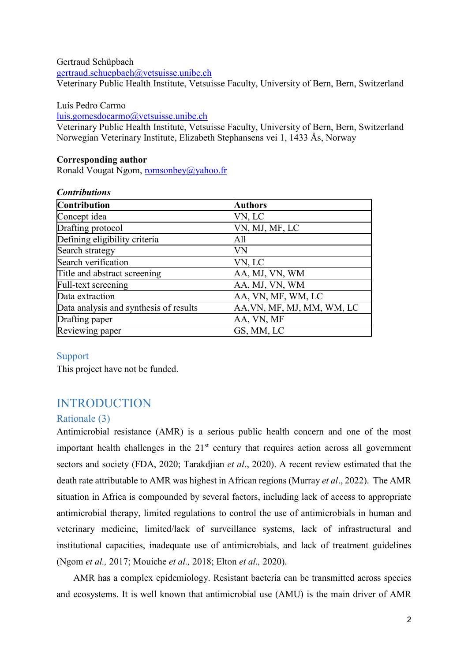Gertraud Schüpbach [gertraud.schuepbach@vetsuisse.unibe.ch](mailto:gertraud.schuepbach@vetsuisse.unibe.ch) Veterinary Public Health Institute, Vetsuisse Faculty, University of Bern, Bern, Switzerland

#### Luís Pedro Carmo

[luis.gomesdocarmo@vetsuisse.unibe.ch](mailto:luis.gomesdocarmo@vetsuisse.unibe.ch)

Veterinary Public Health Institute, Vetsuisse Faculty, University of Bern, Bern, Switzerland Norwegian Veterinary Institute, Elizabeth Stephansens vei 1, 1433 Ås, Norway

#### **Corresponding author**

Ronald Vougat Ngom, [romsonbey@yahoo.fr](mailto:romsonbey@yahoo.fr)

| <b>Contributions</b>                   |                            |
|----------------------------------------|----------------------------|
| Contribution                           | <b>Authors</b>             |
| Concept idea                           | VN, LC                     |
| Drafting protocol                      | VN, MJ, MF, LC             |
| Defining eligibility criteria          | A11                        |
| Search strategy                        | VN                         |
| Search verification                    | VN, LC                     |
| Title and abstract screening           | AA, MJ, VN, WM             |
| Full-text screening                    | AA, MJ, VN, WM             |
| Data extraction                        | AA, VN, MF, WM, LC         |
| Data analysis and synthesis of results | AA, VN, MF, MJ, MM, WM, LC |
| Drafting paper                         | AA, VN, MF                 |
| Reviewing paper                        | GS, MM, LC                 |

#### Support

This project have not be funded.

# INTRODUCTION

## Rationale (3)

Antimicrobial resistance (AMR) is a serious public health concern and one of the most important health challenges in the  $21<sup>st</sup>$  century that requires action across all government sectors and society (FDA, 2020; Tarakdjian *et al*., 2020). A recent review estimated that the death rate attributable to AMR was highest in African regions (Murray *et al*., 2022). The AMR situation in Africa is compounded by several factors, including lack of access to appropriate antimicrobial therapy, limited regulations to control the use of antimicrobials in human and veterinary medicine, limited/lack of surveillance systems, lack of infrastructural and institutional capacities, inadequate use of antimicrobials, and lack of treatment guidelines (Ngom *et al.,* 2017; Mouiche *et al.,* 2018; Elton *et al.,* 2020).

AMR has a complex epidemiology. Resistant bacteria can be transmitted across species and ecosystems. It is well known that antimicrobial use (AMU) is the main driver of AMR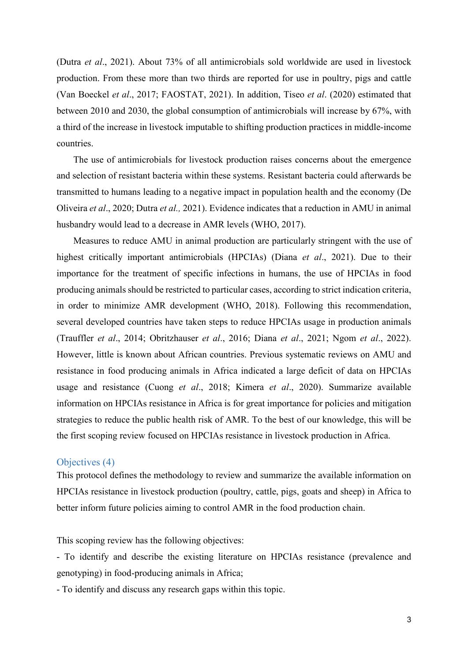(Dutra *et al*., 2021). About 73% of all antimicrobials sold worldwide are used in livestock production. From these more than two thirds are reported for use in poultry, pigs and cattle (Van Boeckel *et al*., 2017; FAOSTAT, 2021). In addition, Tiseo *et al*. (2020) estimated that between 2010 and 2030, the global consumption of antimicrobials will increase by 67%, with a third of the increase in livestock imputable to shifting production practices in middle-income countries.

The use of antimicrobials for livestock production raises concerns about the emergence and selection of resistant bacteria within these systems. Resistant bacteria could afterwards be transmitted to humans leading to a negative impact in population health and the economy (De Oliveira *et al*., 2020; Dutra *et al.,* 2021). Evidence indicates that a reduction in AMU in animal husbandry would lead to a decrease in AMR levels (WHO, 2017).

Measures to reduce AMU in animal production are particularly stringent with the use of highest critically important antimicrobials (HPCIAs) (Diana *et al*., 2021). Due to their importance for the treatment of specific infections in humans, the use of HPCIAs in food producing animals should be restricted to particular cases, according to strict indication criteria, in order to minimize AMR development (WHO, 2018). Following this recommendation, several developed countries have taken steps to reduce HPCIAs usage in production animals (Trauffler *et al*., 2014; Obritzhauser *et al*., 2016; [Diana](https://www.sciencedirect.com/science/article/pii/S1751731120300938#!) *et al*., 2021; Ngom *et al*., 2022). However, little is known about African countries. Previous systematic reviews on AMU and resistance in food producing animals in Africa indicated a large deficit of data on HPCIAs usage and resistance (Cuong *et al*., 2018; Kimera *et al*., 2020). Summarize available information on HPCIAs resistance in Africa is for great importance for policies and mitigation strategies to reduce the public health risk of AMR. To the best of our knowledge, this will be the first scoping review focused on HPCIAs resistance in livestock production in Africa.

#### Objectives (4)

This protocol defines the methodology to review and summarize the available information on HPCIAs resistance in livestock production (poultry, cattle, pigs, goats and sheep) in Africa to better inform future policies aiming to control AMR in the food production chain.

This scoping review has the following objectives:

- To identify and describe the existing literature on HPCIAs resistance (prevalence and genotyping) in food-producing animals in Africa;

- To identify and discuss any research gaps within this topic.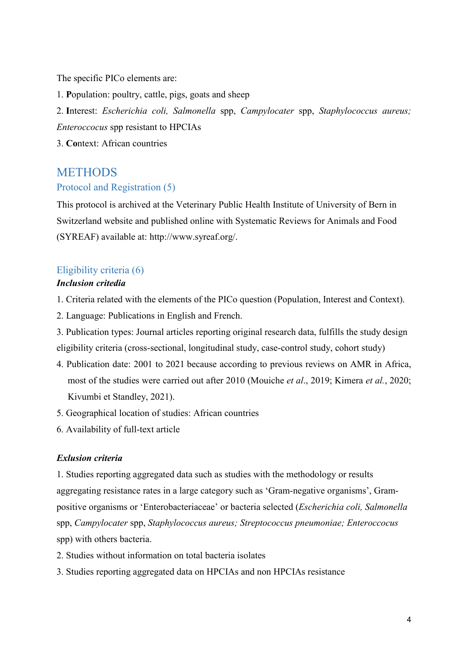The specific PICo elements are:

1. **P**opulation: poultry, cattle, pigs, goats and sheep

2. **I**nterest: *Escherichia coli, Salmonella* spp, *Campylocater* spp, *Staphylococcus aureus; Enteroccocus* spp resistant to HPCIAs

3. **Co**ntext: African countries

# **METHODS**

### Protocol and Registration (5)

This protocol is archived at the Veterinary Public Health Institute of University of Bern in Switzerland website and published online with Systematic Reviews for Animals and Food (SYREAF) available at: http://www.syreaf.org/.

# Eligibility criteria (6)

# *Inclusion critedia*

- 1. Criteria related with the elements of the PICo question (Population, Interest and Context).
- 2. Language: Publications in English and French.
- 3. Publication types: Journal articles reporting original research data, fulfills the study design eligibility criteria (cross-sectional, longitudinal study, case-control study, cohort study)
- 4. Publication date: 2001 to 2021 because according to previous reviews on AMR in Africa, most of the studies were carried out after 2010 (Mouiche *et al*., 2019; Kimera *et al.*, 2020; Kivumbi et Standley, 2021).
- 5. Geographical location of studies: African countries
- 6. Availability of full-text article

#### *Exlusion criteria*

1. Studies reporting aggregated data such as studies with the methodology or results aggregating resistance rates in a large category such as 'Gram-negative organisms', Grampositive organisms or 'Enterobacteriaceae' or bacteria selected (*Escherichia coli, Salmonella* spp, *Campylocater* spp, *Staphylococcus aureus; Streptococcus pneumoniae; Enteroccocus* spp) with others bacteria.

- 2. Studies without information on total bacteria isolates
- 3. Studies reporting aggregated data on HPCIAs and non HPCIAs resistance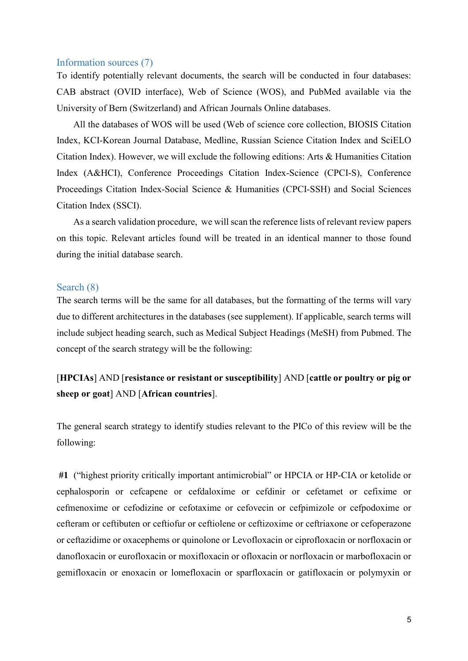#### Information sources (7)

To identify potentially relevant documents, the search will be conducted in four databases: CAB abstract (OVID interface), Web of Science (WOS), and PubMed available via the University of Bern (Switzerland) and African Journals Online databases.

All the databases of WOS will be used (Web of science core collection, BIOSIS Citation Index, KCI-Korean Journal Database, Medline, Russian Science Citation Index and SciELO Citation Index). However, we will exclude the following editions: Arts & Humanities Citation Index (A&HCI), Conference Proceedings Citation Index-Science (CPCI-S), Conference Proceedings Citation Index-Social Science & Humanities (CPCI-SSH) and Social Sciences Citation Index (SSCI).

As a search validation procedure, we will scan the reference lists of relevant review papers on this topic. Relevant articles found will be treated in an identical manner to those found during the initial database search.

#### Search (8)

The search terms will be the same for all databases, but the formatting of the terms will vary due to different architectures in the databases (see supplement). If applicable, search terms will include subject heading search, such as Medical Subject Headings (MeSH) from Pubmed. The concept of the search strategy will be the following:

[**HPCIAs**] AND [**resistance or resistant or susceptibility**] AND [**cattle or poultry or pig or sheep or goat**] AND [**African countries**].

The general search strategy to identify studies relevant to the PICo of this review will be the following:

 **#1** ("highest priority critically important antimicrobial" or HPCIA or HP-CIA or ketolide or cephalosporin or cefcapene or cefdaloxime or cefdinir or cefetamet or cefixime or cefmenoxime or cefodizine or cefotaxime or cefovecin or cefpimizole or cefpodoxime or cefteram or ceftibuten or ceftiofur or ceftiolene or ceftizoxime or ceftriaxone or cefoperazone or ceftazidime or oxacephems or quinolone or Levofloxacin or ciprofloxacin or norfloxacin or danofloxacin or eurofloxacin or moxifloxacin or ofloxacin or norfloxacin or marbofloxacin or gemifloxacin or enoxacin or lomefloxacin or sparfloxacin or gatifloxacin or polymyxin or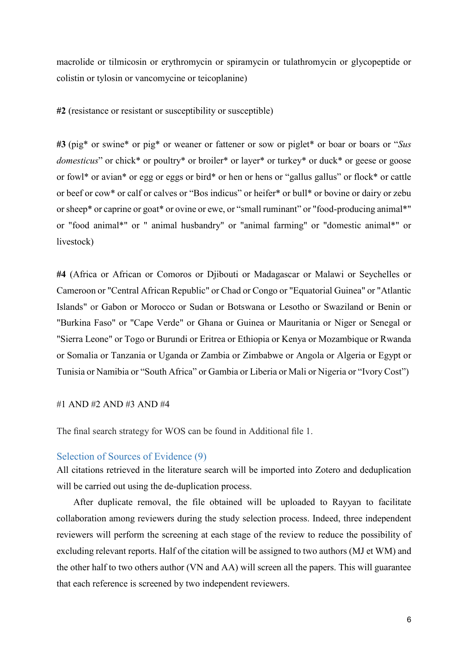macrolide or tilmicosin or erythromycin or spiramycin or tulathromycin or glycopeptide or colistin or tylosin or vancomycine or teicoplanine)

**#2** (resistance or resistant or susceptibility or susceptible)

**#3** (pig\* or swine\* or pig\* or weaner or fattener or sow or piglet\* or boar or boars or "*Sus domesticus*" or chick\* or poultry\* or broiler\* or layer\* or turkey\* or duck\* or geese or goose or fowl\* or avian\* or egg or eggs or bird\* or hen or hens or "gallus gallus" or flock\* or cattle or beef or cow\* or calf or calves or "Bos indicus" or heifer\* or bull\* or bovine or dairy or zebu or sheep\* or caprine or goat\* or ovine or ewe, or "small ruminant" or "food-producing animal\*" or "food animal\*" or " animal husbandry" or "animal farming" or "domestic animal\*" or livestock)

**#4** (Africa or African or Comoros or Djibouti or Madagascar or Malawi or Seychelles or Cameroon or "Central African Republic" or Chad or Congo or "Equatorial Guinea" or "Atlantic Islands" or Gabon or Morocco or Sudan or Botswana or Lesotho or Swaziland or Benin or "Burkina Faso" or "Cape Verde" or Ghana or Guinea or Mauritania or Niger or Senegal or "Sierra Leone" or Togo or Burundi or Eritrea or Ethiopia or Kenya or Mozambique or Rwanda or Somalia or Tanzania or Uganda or Zambia or Zimbabwe or Angola or Algeria or Egypt or Tunisia or Namibia or "South Africa" or Gambia or Liberia or Mali or Nigeria or "Ivory Cost")

#### #1 AND #2 AND #3 AND #4

The final search strategy for WOS can be found in Additional file 1.

#### Selection of Sources of Evidence (9)

All citations retrieved in the literature search will be imported into Zotero and deduplication will be carried out using the de-duplication process.

After duplicate removal, the file obtained will be uploaded to Rayyan to facilitate collaboration among reviewers during the study selection process. Indeed, three independent reviewers will perform the screening at each stage of the review to reduce the possibility of excluding relevant reports. Half of the citation will be assigned to two authors (MJ et WM) and the other half to two others author (VN and AA) will screen all the papers. This will guarantee that each reference is screened by two independent reviewers.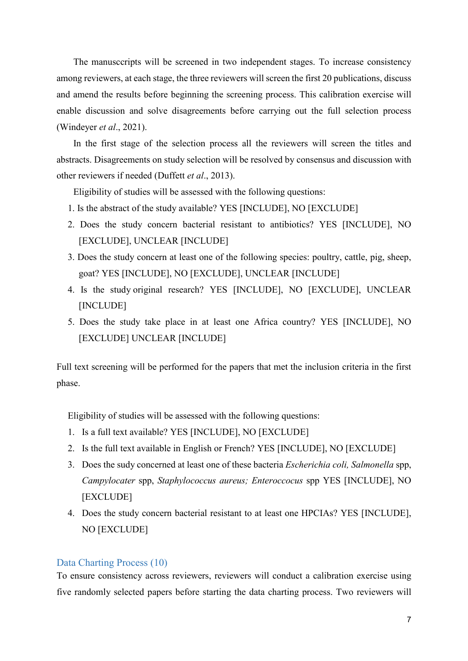The manusccripts will be screened in two independent stages. To increase consistency among reviewers, at each stage, the three reviewers will screen the first 20 publications, discuss and amend the results before beginning the screening process. This calibration exercise will enable discussion and solve disagreements before carrying out the full selection process (Windeyer *et al*., 2021).

In the first stage of the selection process all the reviewers will screen the titles and abstracts. Disagreements on study selection will be resolved by consensus and discussion with other reviewers if needed (Duffett *et al*., 2013).

Eligibility of studies will be assessed with the following questions:

- 1. Is the abstract of the study available? YES [INCLUDE], NO [EXCLUDE]
- 2. Does the study concern bacterial resistant to antibiotics? YES [INCLUDE], NO [EXCLUDE], UNCLEAR [INCLUDE]
- 3. Does the study concern at least one of the following species: poultry, cattle, pig, sheep, goat? YES [INCLUDE], NO [EXCLUDE], UNCLEAR [INCLUDE]
- 4. Is the study original research? YES [INCLUDE], NO [EXCLUDE], UNCLEAR [INCLUDE]
- 5. Does the study take place in at least one Africa country? YES [INCLUDE], NO [EXCLUDE] UNCLEAR [INCLUDE]

Full text screening will be performed for the papers that met the inclusion criteria in the first phase.

Eligibility of studies will be assessed with the following questions:

- 1. Is a full text available? YES [INCLUDE], NO [EXCLUDE]
- 2. Is the full text available in English or French? YES [INCLUDE], NO [EXCLUDE]
- 3. Does the sudy concerned at least one of these bacteria *Escherichia coli, Salmonella* spp, *Campylocater* spp, *Staphylococcus aureus; Enteroccocus* spp YES [INCLUDE], NO [EXCLUDE]
- 4. Does the study concern bacterial resistant to at least one HPCIAs? YES [INCLUDE], NO [EXCLUDE]

### Data Charting Process (10)

To ensure consistency across reviewers, reviewers will conduct a calibration exercise using five randomly selected papers before starting the data charting process. Two reviewers will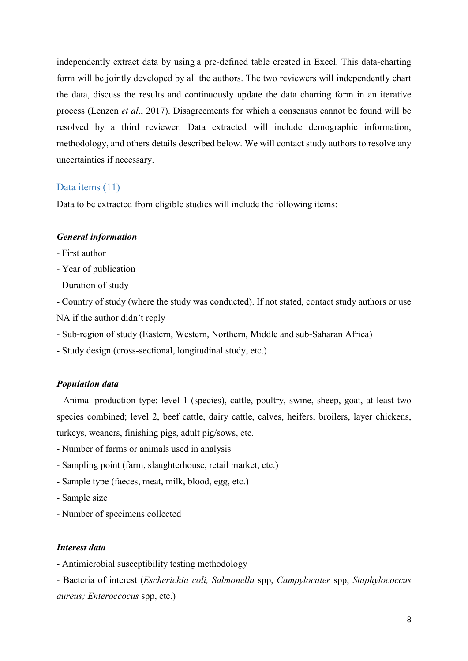independently extract data by using a pre-defined table created in Excel. This data-charting form will be jointly developed by all the authors. The two reviewers will independently chart the data, discuss the results and continuously update the data charting form in an iterative process (Lenzen *et al*., 2017). Disagreements for which a consensus cannot be found will be resolved by a third reviewer. Data extracted will include demographic information, methodology, and others details described below. We will contact study authors to resolve any uncertainties if necessary.

#### Data items (11)

Data to be extracted from eligible studies will include the following items:

#### *General information*

- First author
- Year of publication
- Duration of study

- Country of study (where the study was conducted). If not stated, contact study authors or use NA if the author didn't reply

- Sub-region of study (Eastern, Western, Northern, Middle and sub-Saharan Africa)
- Study design (cross-sectional, longitudinal study, etc.)

#### *Population data*

- Animal production type: level 1 (species), cattle, poultry, swine, sheep, goat, at least two species combined; level 2, beef cattle, dairy cattle, calves, heifers, broilers, layer chickens, turkeys, weaners, finishing pigs, adult pig/sows, etc.

- Number of farms or animals used in analysis
- Sampling point (farm, slaughterhouse, retail market, etc.)
- Sample type (faeces, meat, milk, blood, egg, etc.)
- Sample size
- Number of specimens collected

#### *Interest data*

- Antimicrobial susceptibility testing methodology

- Bacteria of interest (*Escherichia coli, Salmonella* spp, *Campylocater* spp, *Staphylococcus aureus; Enteroccocus* spp, etc.)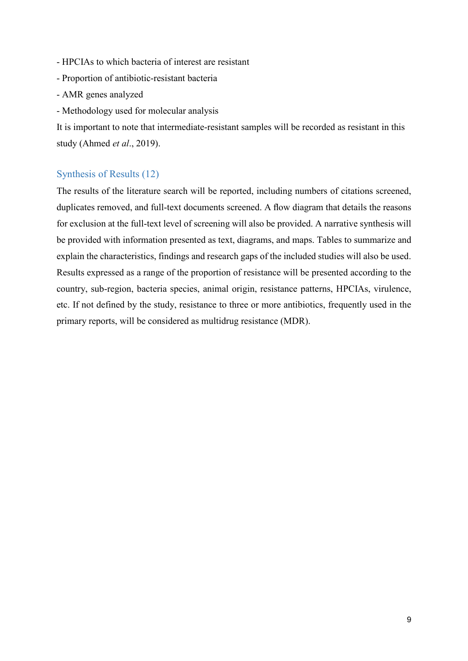- HPCIAs to which bacteria of interest are resistant
- Proportion of antibiotic-resistant bacteria
- AMR genes analyzed
- Methodology used for molecular analysis

It is important to note that intermediate-resistant samples will be recorded as resistant in this study (Ahmed *et al*., 2019).

## Synthesis of Results (12)

The results of the literature search will be reported, including numbers of citations screened, duplicates removed, and full-text documents screened. A flow diagram that details the reasons for exclusion at the full-text level of screening will also be provided. A narrative synthesis will be provided with information presented as text, diagrams, and maps. Tables to summarize and explain the characteristics, findings and research gaps of the included studies will also be used. Results expressed as a range of the proportion of resistance will be presented according to the country, sub-region, bacteria species, animal origin, resistance patterns, HPCIAs, virulence, etc. If not defined by the study, resistance to three or more antibiotics, frequently used in the primary reports, will be considered as multidrug resistance (MDR).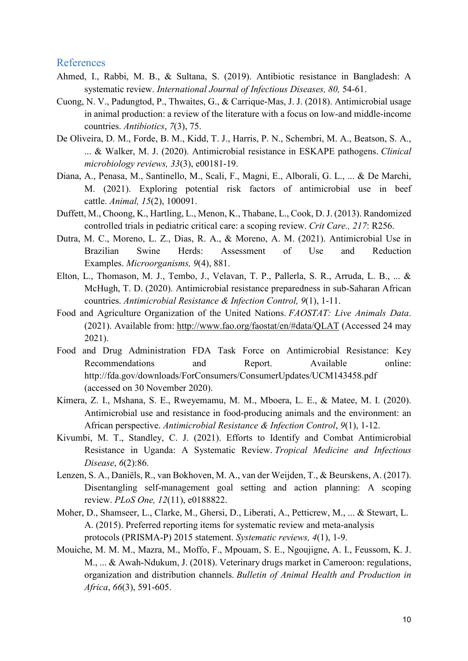#### References

- Ahmed, I., Rabbi, M. B., & Sultana, S. (2019). Antibiotic resistance in Bangladesh: A systematic review. *International Journal of Infectious Diseases, 80,* 54-61.
- Cuong, N. V., Padungtod, P., Thwaites, G., & Carrique-Mas, J. J. (2018). Antimicrobial usage in animal production: a review of the literature with a focus on low-and middle-income countries. *Antibiotics*, *7*(3), 75.
- De Oliveira, D. M., Forde, B. M., Kidd, T. J., Harris, P. N., Schembri, M. A., Beatson, S. A., ... & Walker, M. J. (2020). Antimicrobial resistance in ESKAPE pathogens. *Clinical microbiology reviews, 33*(3), e00181-19.
- Diana, A., Penasa, M., Santinello, M., Scali, F., Magni, E., Alborali, G. L., ... & De Marchi, M. (2021). Exploring potential risk factors of antimicrobial use in beef cattle. *Animal, 15*(2), 100091.
- Duffett, M., Choong, K., Hartling, L., Menon, K., Thabane, L., Cook, D. J. (2013). Randomized controlled trials in pediatric critical care: a scoping review. *Crit Care., 217*: R256.
- Dutra, M. C., Moreno, L. Z., Dias, R. A., & Moreno, A. M. (2021). Antimicrobial Use in Brazilian Swine Herds: Assessment of Use and Reduction Examples. *Microorganisms, 9*(4), 881.
- Elton, L., Thomason, M. J., Tembo, J., Velavan, T. P., Pallerla, S. R., Arruda, L. B., ... & McHugh, T. D. (2020). Antimicrobial resistance preparedness in sub-Saharan African countries. *Antimicrobial Resistance & Infection Control, 9*(1), 1-11.
- Food and Agriculture Organization of the United Nations. *FAOSTAT: Live Animals Data*. (2021). Available from: <http://www.fao.org/faostat/en/#data/QLAT> (Accessed 24 may 2021).
- Food and Drug Administration FDA Task Force on Antimicrobial Resistance: Key Recommendations and Report. Available online: http://fda.gov/downloads/ForConsumers/ConsumerUpdates/UCM143458.pdf (accessed on 30 November 2020).
- Kimera, Z. I., Mshana, S. E., Rweyemamu, M. M., Mboera, L. E., & Matee, M. I. (2020). Antimicrobial use and resistance in food-producing animals and the environment: an African perspective. *Antimicrobial Resistance & Infection Control*, *9*(1), 1-12.
- Kivumbi, M. T., Standley, C. J. (2021). Efforts to Identify and Combat Antimicrobial Resistance in Uganda: A Systematic Review. *Tropical Medicine and Infectious Disease*, *6*(2):86.
- Lenzen, S. A., Daniëls, R., van Bokhoven, M. A., van der Weijden, T., & Beurskens, A. (2017). Disentangling self-management goal setting and action planning: A scoping review. *PLoS One, 12*(11), e0188822.
- Moher, D., Shamseer, L., Clarke, M., Ghersi, D., Liberati, A., Petticrew, M., ... & Stewart, L. A. (2015). Preferred reporting items for systematic review and meta-analysis protocols (PRISMA-P) 2015 statement. *Systematic reviews, 4*(1), 1-9.
- Mouiche, M. M. M., Mazra, M., Moffo, F., Mpouam, S. E., Ngoujigne, A. I., Feussom, K. J. M., ... & Awah-Ndukum, J. (2018). Veterinary drugs market in Cameroon: regulations, organization and distribution channels. *Bulletin of Animal Health and Production in Africa*, *66*(3), 591-605.